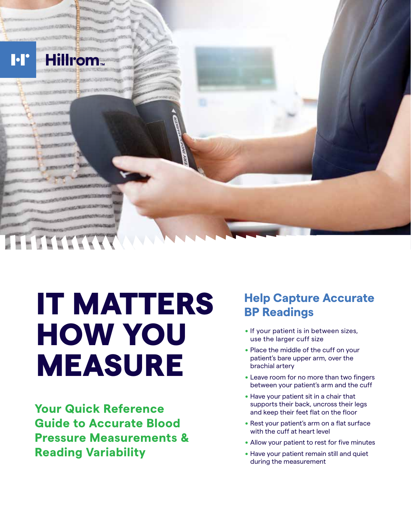

# IT MATTERS HOW YOU MEASURE

**Your Quick Reference Guide to Accurate Blood Pressure Measurements & Reading Variability**

## **Help Capture Accurate BP Readings**

- If your patient is in between sizes, use the larger cuff size
- . Place the middle of the cuff on your patient's bare upper arm, over the brachial artery
- . Leave room for no more than two fingers between your patient's arm and the cuff
- . Have your patient sit in a chair that supports their back, uncross their legs and keep their feet flat on the floor
- . Rest your patient's arm on a flat surface with the cuff at heart level
- . Allow your patient to rest for five minutes
- . Have your patient remain still and quiet during the measurement